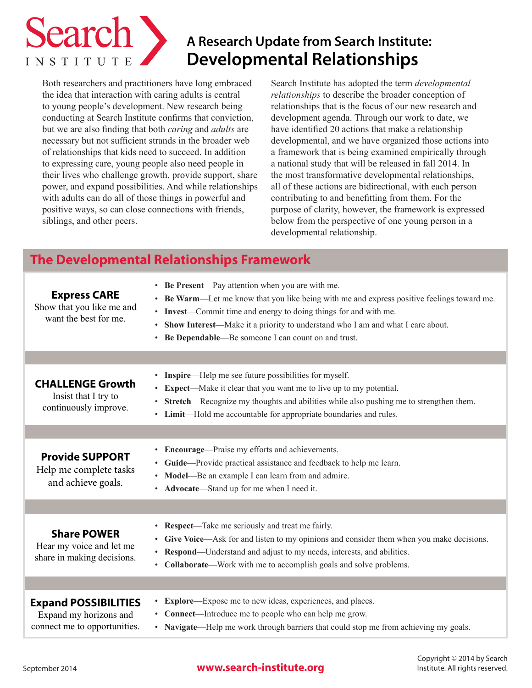

# **A Research Update from Search Institute: Developmental Relationships**

Both researchers and practitioners have long embraced the idea that interaction with caring adults is central to young people's development. New research being conducting at Search Institute confirms that conviction, but we are also finding that both *caring* and *adults* are necessary but not sufficient strands in the broader web of relationships that kids need to succeed. In addition to expressing care, young people also need people in their lives who challenge growth, provide support, share power, and expand possibilities. And while relationships with adults can do all of those things in powerful and positive ways, so can close connections with friends, siblings, and other peers.

Search Institute has adopted the term *developmental relationships* to describe the broader conception of relationships that is the focus of our new research and development agenda. Through our work to date, we have identified 20 actions that make a relationship developmental, and we have organized those actions into a framework that is being examined empirically through a national study that will be released in fall 2014. In the most transformative developmental relationships, all of these actions are bidirectional, with each person contributing to and benefitting from them. For the purpose of clarity, however, the framework is expressed below from the perspective of one young person in a developmental relationship.

# **The Developmental Relationships Framework**

| <b>Express CARE</b><br>Show that you like me and<br>want the best for me.             | • Be Present—Pay attention when you are with me.<br><b>Be Warm—Let</b> me know that you like being with me and express positive feelings toward me.<br>$\bullet$<br>• Invest—Commit time and energy to doing things for and with me.<br>Show Interest—Make it a priority to understand who I am and what I care about.<br>$\bullet$<br>Be Dependable—Be someone I can count on and trust.<br>$\bullet$ |
|---------------------------------------------------------------------------------------|--------------------------------------------------------------------------------------------------------------------------------------------------------------------------------------------------------------------------------------------------------------------------------------------------------------------------------------------------------------------------------------------------------|
|                                                                                       |                                                                                                                                                                                                                                                                                                                                                                                                        |
| <b>CHALLENGE Growth</b><br>Insist that I try to<br>continuously improve.              | • Inspire—Help me see future possibilities for myself.<br>• Expect—Make it clear that you want me to live up to my potential.<br>• Stretch—Recognize my thoughts and abilities while also pushing me to strengthen them.<br>• Limit—Hold me accountable for appropriate boundaries and rules.                                                                                                          |
|                                                                                       |                                                                                                                                                                                                                                                                                                                                                                                                        |
| <b>Provide SUPPORT</b><br>Help me complete tasks<br>and achieve goals.                | • Encourage—Praise my efforts and achievements.<br>• Guide—Provide practical assistance and feedback to help me learn.<br>Model—Be an example I can learn from and admire.<br>$\bullet$<br>Advocate—Stand up for me when I need it.<br>$\bullet$                                                                                                                                                       |
|                                                                                       |                                                                                                                                                                                                                                                                                                                                                                                                        |
| <b>Share POWER</b><br>Hear my voice and let me<br>share in making decisions.          | <b>Respect</b> —Take me seriously and treat me fairly.<br>Give Voice—Ask for and listen to my opinions and consider them when you make decisions.<br>$\bullet$<br>• Respond—Understand and adjust to my needs, interests, and abilities.<br>Collaborate—Work with me to accomplish goals and solve problems.<br>$\bullet$                                                                              |
|                                                                                       |                                                                                                                                                                                                                                                                                                                                                                                                        |
| <b>Expand POSSIBILITIES</b><br>Expand my horizons and<br>connect me to opportunities. | <b>Explore</b> —Expose me to new ideas, experiences, and places.<br>$\bullet$<br>• Connect—Introduce me to people who can help me grow.<br>• Navigate—Help me work through barriers that could stop me from achieving my goals.                                                                                                                                                                        |